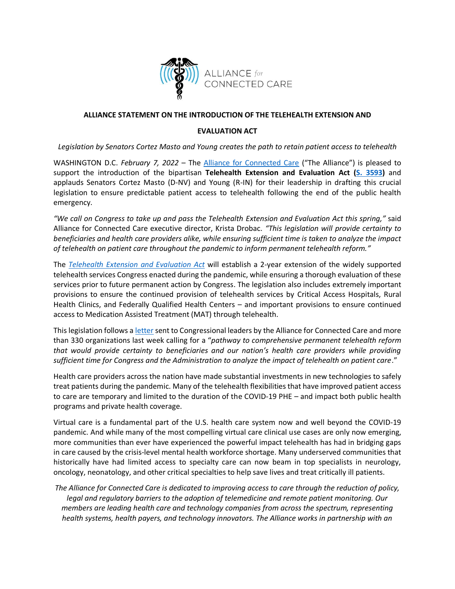

## **ALLIANCE STATEMENT ON THE INTRODUCTION OF THE TELEHEALTH EXTENSION AND**

## **EVALUATION ACT**

*Legislation by Senators Cortez Masto and Young creates the path to retain patient access to telehealth*

WASHINGTON D.C. *February 7, 2022* – The [Alliance for Connected Care](http://www.connectwithcare.org/) ("The Alliance") is pleased to support the introduction of the bipartisan **Telehealth Extension and Evaluation Act [\(S. 3593\)](https://www.congress.gov/bill/117th-congress/senate-bill/3593?loclr=cga-search)** and applauds Senators Cortez Masto (D-NV) and Young (R-IN) for their leadership in drafting this crucial legislation to ensure predictable patient access to telehealth following the end of the public health emergency.

*"We call on Congress to take up and pass the Telehealth Extension and Evaluation Act this spring,"* said Alliance for Connected Care executive director, Krista Drobac. *"This legislation will provide certainty to beneficiaries and health care providers alike, while ensuring sufficient time is taken to analyze the impact of telehealth on patient care throughout the pandemic to inform permanent telehealth reform."*

The *[Telehealth Extension](https://www.cortezmasto.senate.gov/imo/media/doc/GOE22074.pdf) and Evaluation Act* will establish a 2-year extension of the widely supported telehealth services Congress enacted during the pandemic, while ensuring a thorough evaluation of these services prior to future permanent action by Congress. The legislation also includes extremely important provisions to ensure the continued provision of telehealth services by Critical Access Hospitals, Rural Health Clinics, and Federally Qualified Health Centers – and important provisions to ensure continued access to Medication Assisted Treatment (MAT) through telehealth.

This legislation follows a [letter](https://connectwithcare.org/wp-content/uploads/2022/01/Telehealth-Pathway-to-Reform-Letter-to-Congress-w-signers-FIN-v2.pdf) sent to Congressional leaders by the Alliance for Connected Care and more than 330 organizations last week calling for a "*pathway to comprehensive permanent telehealth reform that would provide certainty to beneficiaries and our nation's health care providers while providing sufficient time for Congress and the Administration to analyze the impact of telehealth on patient care*."

Health care providers across the nation have made substantial investments in new technologies to safely treat patients during the pandemic. Many of the telehealth flexibilities that have improved patient access to care are temporary and limited to the duration of the COVID-19 PHE – and impact both public health programs and private health coverage.

Virtual care is a fundamental part of the U.S. health care system now and well beyond the COVID-19 pandemic. And while many of the most compelling virtual care clinical use cases are only now emerging, more communities than ever have experienced the powerful impact telehealth has had in bridging gaps in care caused by the crisis-level mental health workforce shortage. Many underserved communities that historically have had limited access to specialty care can now beam in top specialists in neurology, oncology, neonatology, and other critical specialties to help save lives and treat critically ill patients.

*The Alliance for Connected Care is dedicated to improving access to care through the reduction of policy, legal and regulatory barriers to the adoption of telemedicine and remote patient monitoring. Our members are leading health care and technology companies from across the spectrum, representing health systems, health payers, and technology innovators. The Alliance works in partnership with an*